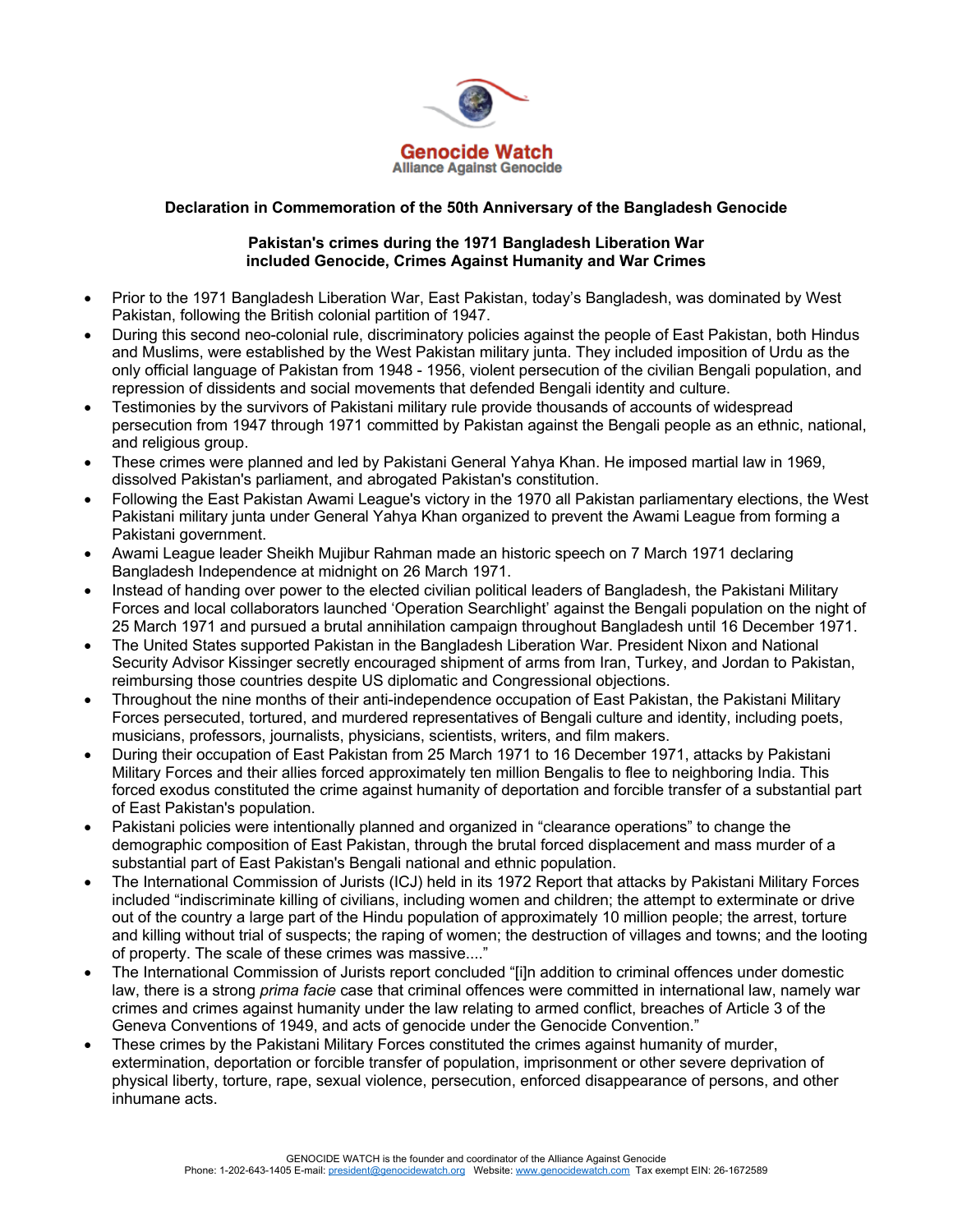

## **Declaration in Commemoration of the 50th Anniversary of the Bangladesh Genocide**

## **Pakistan's crimes during the 1971 Bangladesh Liberation War included Genocide, Crimes Against Humanity and War Crimes**

- Prior to the 1971 Bangladesh Liberation War, East Pakistan, today's Bangladesh, was dominated by West Pakistan, following the British colonial partition of 1947.
- During this second neo-colonial rule, discriminatory policies against the people of East Pakistan, both Hindus and Muslims, were established by the West Pakistan military junta. They included imposition of Urdu as the only official language of Pakistan from 1948 - 1956, violent persecution of the civilian Bengali population, and repression of dissidents and social movements that defended Bengali identity and culture.
- Testimonies by the survivors of Pakistani military rule provide thousands of accounts of widespread persecution from 1947 through 1971 committed by Pakistan against the Bengali people as an ethnic, national, and religious group.
- These crimes were planned and led by Pakistani General Yahya Khan. He imposed martial law in 1969, dissolved Pakistan's parliament, and abrogated Pakistan's constitution.
- Following the East Pakistan Awami League's victory in the 1970 all Pakistan parliamentary elections, the West Pakistani military junta under General Yahya Khan organized to prevent the Awami League from forming a Pakistani government.
- Awami League leader Sheikh Mujibur Rahman made an historic speech on 7 March 1971 declaring Bangladesh Independence at midnight on 26 March 1971.
- Instead of handing over power to the elected civilian political leaders of Bangladesh, the Pakistani Military Forces and local collaborators launched 'Operation Searchlight' against the Bengali population on the night of 25 March 1971 and pursued a brutal annihilation campaign throughout Bangladesh until 16 December 1971.
- The United States supported Pakistan in the Bangladesh Liberation War. President Nixon and National Security Advisor Kissinger secretly encouraged shipment of arms from Iran, Turkey, and Jordan to Pakistan, reimbursing those countries despite US diplomatic and Congressional objections.
- Throughout the nine months of their anti-independence occupation of East Pakistan, the Pakistani Military Forces persecuted, tortured, and murdered representatives of Bengali culture and identity, including poets, musicians, professors, journalists, physicians, scientists, writers, and film makers.
- During their occupation of East Pakistan from 25 March 1971 to 16 December 1971, attacks by Pakistani Military Forces and their allies forced approximately ten million Bengalis to flee to neighboring India. This forced exodus constituted the crime against humanity of deportation and forcible transfer of a substantial part of East Pakistan's population.
- Pakistani policies were intentionally planned and organized in "clearance operations" to change the demographic composition of East Pakistan, through the brutal forced displacement and mass murder of a substantial part of East Pakistan's Bengali national and ethnic population.
- The International Commission of Jurists (ICJ) held in its 1972 Report that attacks by Pakistani Military Forces included "indiscriminate killing of civilians, including women and children; the attempt to exterminate or drive out of the country a large part of the Hindu population of approximately 10 million people; the arrest, torture and killing without trial of suspects; the raping of women; the destruction of villages and towns; and the looting of property. The scale of these crimes was massive...."
- The International Commission of Jurists report concluded "[i]n addition to criminal offences under domestic law, there is a strong *prima facie* case that criminal offences were committed in international law, namely war crimes and crimes against humanity under the law relating to armed conflict, breaches of Article 3 of the Geneva Conventions of 1949, and acts of genocide under the Genocide Convention."
- These crimes by the Pakistani Military Forces constituted the crimes against humanity of murder, extermination, deportation or forcible transfer of population, imprisonment or other severe deprivation of physical liberty, torture, rape, sexual violence, persecution, enforced disappearance of persons, and other inhumane acts.